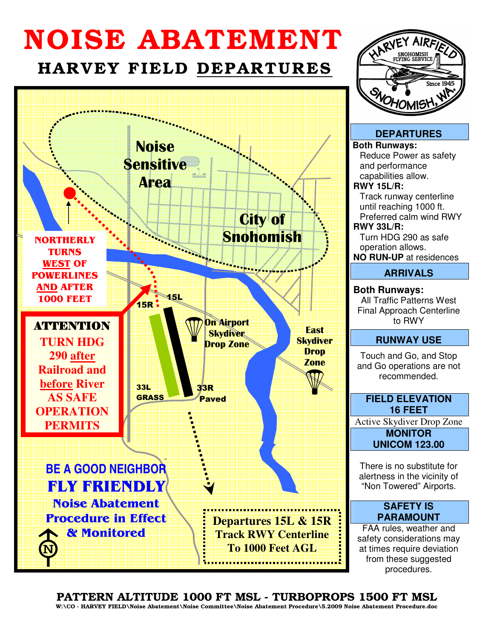# NOISE ABATEMENT

## HARVEY FIELD DEPARTURES





**DEPARTURES Both Runways:** Reduce Power as safety and performance capabilities allow. **RWY 15L/R:** Track runway centerline until reaching 1000 ft. Preferred calm wind RWY **RWY 33L/R:** Turn HDG 290 as safe operation allows. **NO RUN-UP** at residences **ARRIVALS Both Runways:** All Traffic Patterns West Final Approach Centerline to RWY **RUNWAY USE**

Touch and Go, and Stop and Go operations are not recommended.

## **FIELD ELEVATION 16 FEET**

Active Skydiver Drop Zone

**MONITOR UNICOM 123.00**

There is no substitute for alertness in the vicinity of "Non Towered" Airports.

#### **SAFETY IS PARAMOUNT**

FAA rules, weather and safety considerations may at times require deviation from these suggested procedures.

## PATTERN ALTITUDE 1000 FT MSL - TURBOPROPS 1500 FT MSL

W:\CO - HARVEY FIELD\Noise Abatement\Noise Committee\Noise Abatement Procedure\5.2009 Noise Abatement Procedure.doc